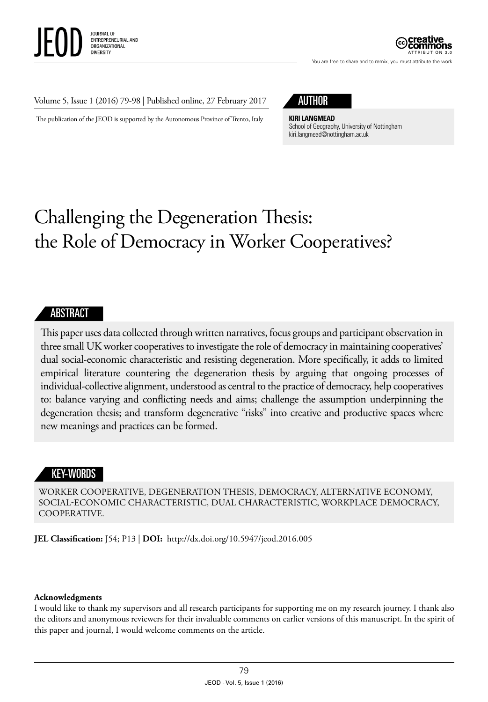

ATTRIBUTION 3.0

You are free to share and to remix, you must attribute the work

#### Volume 5, Issue 1 (2016) 79-98 | Published online, 27 February 2017

The publication of the JEOD is supported by the Autonomous Province of Trento, Italy

## AUTHOR

**KIRI LANGMEAD**

School of Geography, University of Nottingham [kiri.langmead@nottingham.ac.uk](mailto:kiri.langmead@nottingham.ac.uk)

# Challenging the Degeneration Thesis: the Role of Democracy in Worker Cooperatives?

#### ABSTRACT

This paper uses data collected through written narratives, focus groups and participant observation in three small UK worker cooperatives to investigate the role of democracy in maintaining cooperatives' dual social-economic characteristic and resisting degeneration. More specifically, it adds to limited empirical literature countering the degeneration thesis by arguing that ongoing processes of individual-collective alignment, understood as central to the practice of democracy, help cooperatives to: balance varying and conflicting needs and aims; challenge the assumption underpinning the degeneration thesis; and transform degenerative "risks" into creative and productive spaces where new meanings and practices can be formed.

#### KEY-WORDS

WORKER COOPERATIVE, DEGENERATION THESIS, DEMOCRACY, ALTERNATIVE ECONOMY, SOCIAL-ECONOMIC CHARACTERISTIC, DUAL CHARACTERISTIC, WORKPLACE DEMOCRACY, COOPERATIVE.

**JEL Classification:** J54; P13 | **DOI:** <http://dx.doi.org/10.5947/jeod.2016.005>

#### **Acknowledgments**

I would like to thank my supervisors and all research participants for supporting me on my research journey. I thank also the editors and anonymous reviewers for their invaluable comments on earlier versions of this manuscript. In the spirit of this paper and journal, I would welcome comments on the article.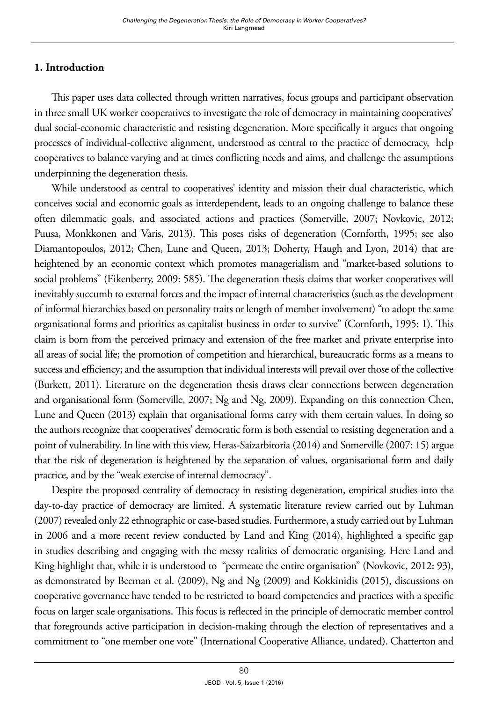## **1. Introduction**

This paper uses data collected through written narratives, focus groups and participant observation in three small UK worker cooperatives to investigate the role of democracy in maintaining cooperatives' dual social-economic characteristic and resisting degeneration. More specifically it argues that ongoing processes of individual-collective alignment, understood as central to the practice of democracy, help cooperatives to balance varying and at times conflicting needs and aims, and challenge the assumptions underpinning the degeneration thesis.

While understood as central to cooperatives' identity and mission their dual characteristic, which conceives social and economic goals as interdependent, leads to an ongoing challenge to balance these often dilemmatic goals, and associated actions and practices (Somerville, 2007; Novkovic, 2012; Puusa, Monkkonen and Varis, 2013). This poses risks of degeneration (Cornforth, 1995; see also Diamantopoulos, 2012; Chen, Lune and Queen, 2013; Doherty, Haugh and Lyon, 2014) that are heightened by an economic context which promotes managerialism and "market-based solutions to social problems" (Eikenberry, 2009: 585). The degeneration thesis claims that worker cooperatives will inevitably succumb to external forces and the impact of internal characteristics (such as the development of informal hierarchies based on personality traits or length of member involvement) "to adopt the same organisational forms and priorities as capitalist business in order to survive" (Cornforth, 1995: 1). This claim is born from the perceived primacy and extension of the free market and private enterprise into all areas of social life; the promotion of competition and hierarchical, bureaucratic forms as a means to success and efficiency; and the assumption that individual interests will prevail over those of the collective (Burkett, 2011). Literature on the degeneration thesis draws clear connections between degeneration and organisational form (Somerville, 2007; Ng and Ng, 2009). Expanding on this connection Chen, Lune and Queen (2013) explain that organisational forms carry with them certain values. In doing so the authors recognize that cooperatives' democratic form is both essential to resisting degeneration and a point of vulnerability. In line with this view, Heras-Saizarbitoria (2014) and Somerville (2007: 15) argue that the risk of degeneration is heightened by the separation of values, organisational form and daily practice, and by the "weak exercise of internal democracy".

Despite the proposed centrality of democracy in resisting degeneration, empirical studies into the day-to-day practice of democracy are limited. A systematic literature review carried out by Luhman (2007) revealed only 22 ethnographic or case-based studies. Furthermore, a study carried out by Luhman in 2006 and a more recent review conducted by Land and King (2014), highlighted a specific gap in studies describing and engaging with the messy realities of democratic organising. Here Land and King highlight that, while it is understood to "permeate the entire organisation" (Novkovic, 2012: 93), as demonstrated by Beeman et al. (2009), Ng and Ng (2009) and Kokkinidis (2015), discussions on cooperative governance have tended to be restricted to board competencies and practices with a specific focus on larger scale organisations. This focus is reflected in the principle of democratic member control that foregrounds active participation in decision-making through the election of representatives and a commitment to "one member one vote" (International Cooperative Alliance, undated). Chatterton and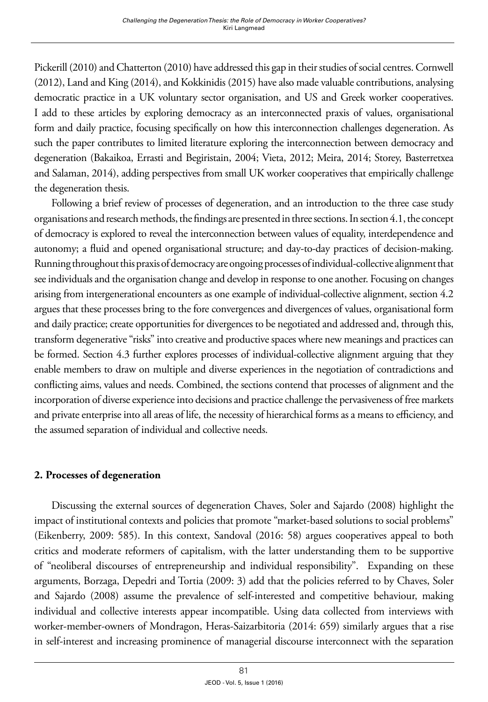Pickerill (2010) and Chatterton (2010) have addressed this gap in their studies of social centres. Cornwell (2012), Land and King (2014), and Kokkinidis (2015) have also made valuable contributions, analysing democratic practice in a UK voluntary sector organisation, and US and Greek worker cooperatives. I add to these articles by exploring democracy as an interconnected praxis of values, organisational form and daily practice, focusing specifically on how this interconnection challenges degeneration. As such the paper contributes to limited literature exploring the interconnection between democracy and degeneration (Bakaikoa, Errasti and Begiristain, 2004; Vieta, 2012; Meira, 2014; Storey, Basterretxea and Salaman, 2014), adding perspectives from small UK worker cooperatives that empirically challenge the degeneration thesis.

Following a brief review of processes of degeneration, and an introduction to the three case study organisations and research methods, the findings are presented in three sections. In section 4.1, the concept of democracy is explored to reveal the interconnection between values of equality, interdependence and autonomy; a fluid and opened organisational structure; and day-to-day practices of decision-making. Running throughout this praxis of democracy are ongoing processes of individual-collective alignment that see individuals and the organisation change and develop in response to one another. Focusing on changes arising from intergenerational encounters as one example of individual-collective alignment, section 4.2 argues that these processes bring to the fore convergences and divergences of values, organisational form and daily practice; create opportunities for divergences to be negotiated and addressed and, through this, transform degenerative "risks" into creative and productive spaces where new meanings and practices can be formed. Section 4.3 further explores processes of individual-collective alignment arguing that they enable members to draw on multiple and diverse experiences in the negotiation of contradictions and conflicting aims, values and needs. Combined, the sections contend that processes of alignment and the incorporation of diverse experience into decisions and practice challenge the pervasiveness of free markets and private enterprise into all areas of life, the necessity of hierarchical forms as a means to efficiency, and the assumed separation of individual and collective needs.

#### **2. Processes of degeneration**

Discussing the external sources of degeneration Chaves, Soler and Sajardo (2008) highlight the impact of institutional contexts and policies that promote "market-based solutions to social problems" (Eikenberry, 2009: 585). In this context, Sandoval (2016: 58) argues cooperatives appeal to both critics and moderate reformers of capitalism, with the latter understanding them to be supportive of "neoliberal discourses of entrepreneurship and individual responsibility". Expanding on these arguments, Borzaga, Depedri and Tortia (2009: 3) add that the policies referred to by Chaves, Soler and Sajardo (2008) assume the prevalence of self-interested and competitive behaviour, making individual and collective interests appear incompatible. Using data collected from interviews with worker-member-owners of Mondragon, Heras-Saizarbitoria (2014: 659) similarly argues that a rise in self-interest and increasing prominence of managerial discourse interconnect with the separation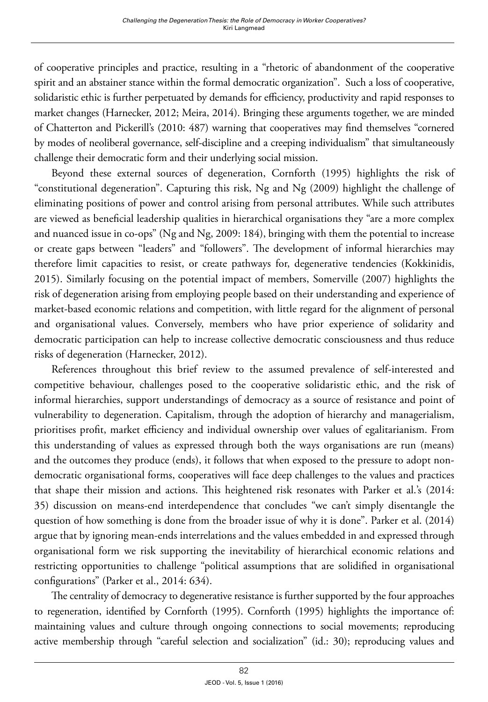of cooperative principles and practice, resulting in a "rhetoric of abandonment of the cooperative spirit and an abstainer stance within the formal democratic organization". Such a loss of cooperative, solidaristic ethic is further perpetuated by demands for efficiency, productivity and rapid responses to market changes (Harnecker, 2012; Meira, 2014). Bringing these arguments together, we are minded of Chatterton and Pickerill's (2010: 487) warning that cooperatives may find themselves "cornered by modes of neoliberal governance, self-discipline and a creeping individualism" that simultaneously challenge their democratic form and their underlying social mission.

Beyond these external sources of degeneration, Cornforth (1995) highlights the risk of "constitutional degeneration". Capturing this risk, Ng and Ng (2009) highlight the challenge of eliminating positions of power and control arising from personal attributes. While such attributes are viewed as beneficial leadership qualities in hierarchical organisations they "are a more complex and nuanced issue in co-ops" (Ng and Ng, 2009: 184), bringing with them the potential to increase or create gaps between "leaders" and "followers". The development of informal hierarchies may therefore limit capacities to resist, or create pathways for, degenerative tendencies (Kokkinidis, 2015). Similarly focusing on the potential impact of members, Somerville (2007) highlights the risk of degeneration arising from employing people based on their understanding and experience of market-based economic relations and competition, with little regard for the alignment of personal and organisational values. Conversely, members who have prior experience of solidarity and democratic participation can help to increase collective democratic consciousness and thus reduce risks of degeneration (Harnecker, 2012).

References throughout this brief review to the assumed prevalence of self-interested and competitive behaviour, challenges posed to the cooperative solidaristic ethic, and the risk of informal hierarchies, support understandings of democracy as a source of resistance and point of vulnerability to degeneration. Capitalism, through the adoption of hierarchy and managerialism, prioritises profit, market efficiency and individual ownership over values of egalitarianism. From this understanding of values as expressed through both the ways organisations are run (means) and the outcomes they produce (ends), it follows that when exposed to the pressure to adopt nondemocratic organisational forms, cooperatives will face deep challenges to the values and practices that shape their mission and actions. This heightened risk resonates with Parker et al.'s (2014: 35) discussion on means-end interdependence that concludes "we can't simply disentangle the question of how something is done from the broader issue of why it is done". Parker et al. (2014) argue that by ignoring mean-ends interrelations and the values embedded in and expressed through organisational form we risk supporting the inevitability of hierarchical economic relations and restricting opportunities to challenge "political assumptions that are solidified in organisational configurations" (Parker et al., 2014: 634).

The centrality of democracy to degenerative resistance is further supported by the four approaches to regeneration, identified by Cornforth (1995). Cornforth (1995) highlights the importance of: maintaining values and culture through ongoing connections to social movements; reproducing active membership through "careful selection and socialization" (id.: 30); reproducing values and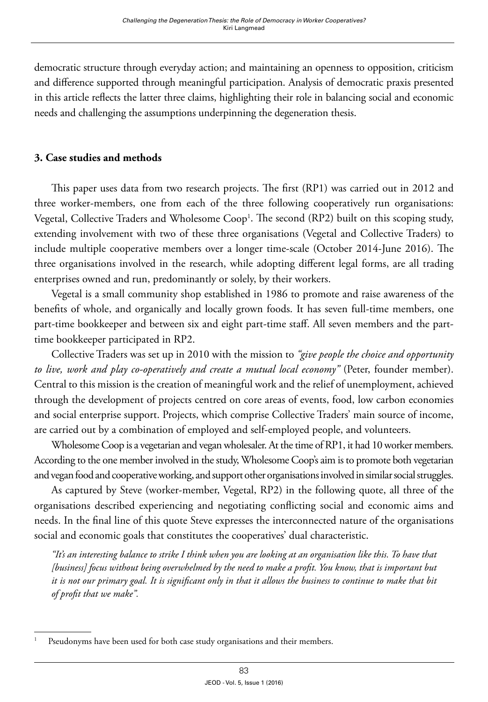democratic structure through everyday action; and maintaining an openness to opposition, criticism and difference supported through meaningful participation. Analysis of democratic praxis presented in this article reflects the latter three claims, highlighting their role in balancing social and economic needs and challenging the assumptions underpinning the degeneration thesis.

#### **3. Case studies and methods**

This paper uses data from two research projects. The first (RP1) was carried out in 2012 and three worker-members, one from each of the three following cooperatively run organisations: Vegetal, Collective Traders and Wholesome Coop<sup>1</sup>. The second (RP2) built on this scoping study, extending involvement with two of these three organisations (Vegetal and Collective Traders) to include multiple cooperative members over a longer time-scale (October 2014-June 2016). The three organisations involved in the research, while adopting different legal forms, are all trading enterprises owned and run, predominantly or solely, by their workers.

Vegetal is a small community shop established in 1986 to promote and raise awareness of the benefits of whole, and organically and locally grown foods. It has seven full-time members, one part-time bookkeeper and between six and eight part-time staff. All seven members and the parttime bookkeeper participated in RP2.

Collective Traders was set up in 2010 with the mission to *"give people the choice and opportunity to live, work and play co-operatively and create a mutual local economy"* (Peter, founder member). Central to this mission is the creation of meaningful work and the relief of unemployment, achieved through the development of projects centred on core areas of events, food, low carbon economies and social enterprise support. Projects, which comprise Collective Traders' main source of income, are carried out by a combination of employed and self-employed people, and volunteers.

Wholesome Coop is a vegetarian and vegan wholesaler. At the time of RP1, it had 10 worker members. According to the one member involved in the study, Wholesome Coop's aim is to promote both vegetarian and vegan food and cooperative working, and support other organisations involved in similar social struggles.

As captured by Steve (worker-member, Vegetal, RP2) in the following quote, all three of the organisations described experiencing and negotiating conflicting social and economic aims and needs. In the final line of this quote Steve expresses the interconnected nature of the organisations social and economic goals that constitutes the cooperatives' dual characteristic.

*"It's an interesting balance to strike I think when you are looking at an organisation like this. To have that [business] focus without being overwhelmed by the need to make a profit. You know, that is important but it is not our primary goal. It is significant only in that it allows the business to continue to make that bit of profit that we make".* 

Pseudonyms have been used for both case study organisations and their members.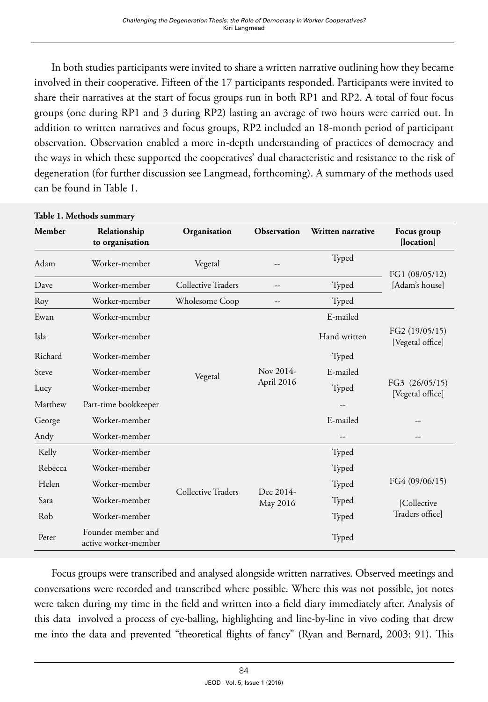In both studies participants were invited to share a written narrative outlining how they became involved in their cooperative. Fifteen of the 17 participants responded. Participants were invited to share their narratives at the start of focus groups run in both RP1 and RP2. A total of four focus groups (one during RP1 and 3 during RP2) lasting an average of two hours were carried out. In addition to written narratives and focus groups, RP2 included an 18-month period of participant observation. Observation enabled a more in-depth understanding of practices of democracy and the ways in which these supported the cooperatives' dual characteristic and resistance to the risk of degeneration (for further discussion see Langmead, forthcoming). A summary of the methods used can be found in Table 1.

| Table 1. Methods summary |                                            |                           |                         |                   |                                                                          |
|--------------------------|--------------------------------------------|---------------------------|-------------------------|-------------------|--------------------------------------------------------------------------|
| <b>Member</b>            | Relationship<br>to organisation            | Organisation              | Observation             | Written narrative | Focus group<br>[location]                                                |
| Adam                     | Worker-member                              | Vegetal                   | --                      | Typed             | FG1 (08/05/12)<br>[Adam's house]                                         |
| Dave                     | Worker-member                              | Collective Traders        | --                      | Typed             |                                                                          |
| Roy                      | Worker-member                              | Wholesome Coop            | --                      | Typed             |                                                                          |
| Ewan                     | Worker-member                              |                           |                         | E-mailed          |                                                                          |
| Isla                     | Worker-member                              | Vegetal                   | Nov 2014-<br>April 2016 | Hand written      | FG2 (19/05/15)<br>[Vegetal office]<br>FG3 (26/05/15)<br>[Vegetal office] |
| Richard                  | Worker-member                              |                           |                         | Typed             |                                                                          |
| Steve                    | Worker-member                              |                           |                         | E-mailed          |                                                                          |
| Lucy                     | Worker-member                              |                           |                         | Typed             |                                                                          |
| Matthew                  | Part-time bookkeeper                       |                           |                         |                   |                                                                          |
| George                   | Worker-member                              |                           |                         | E-mailed          |                                                                          |
| Andy                     | Worker-member                              |                           |                         |                   | --                                                                       |
| Kelly                    | Worker-member                              | <b>Collective Traders</b> | Dec 2014-<br>May 2016   | Typed             |                                                                          |
| Rebecca                  | Worker-member                              |                           |                         | Typed             | FG4 (09/06/15)<br>[Collective<br>Traders office]                         |
| Helen                    | Worker-member                              |                           |                         | Typed             |                                                                          |
| Sara                     | Worker-member                              |                           |                         | Typed             |                                                                          |
| Rob                      | Worker-member                              |                           |                         | Typed             |                                                                          |
| Peter                    | Founder member and<br>active worker-member |                           |                         | Typed             |                                                                          |

Focus groups were transcribed and analysed alongside written narratives. Observed meetings and conversations were recorded and transcribed where possible. Where this was not possible, jot notes were taken during my time in the field and written into a field diary immediately after. Analysis of this data involved a process of eye-balling, highlighting and line-by-line in vivo coding that drew me into the data and prevented "theoretical flights of fancy" (Ryan and Bernard, 2003: 91). This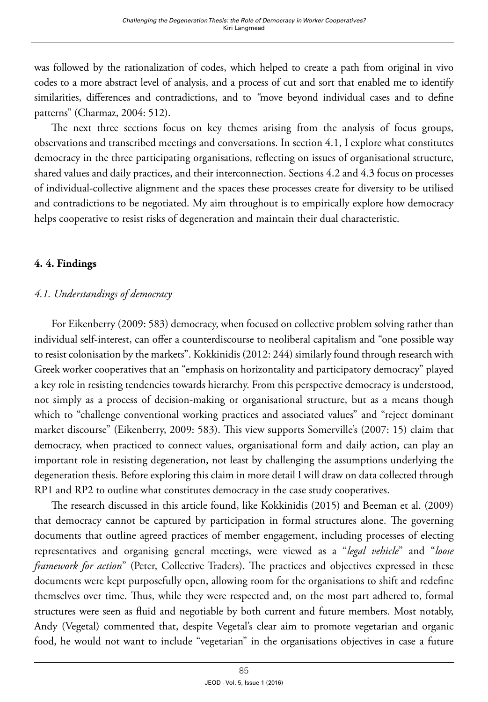was followed by the rationalization of codes, which helped to create a path from original in vivo codes to a more abstract level of analysis, and a process of cut and sort that enabled me to identify similarities, differences and contradictions, and to *"*move beyond individual cases and to define patterns" (Charmaz, 2004: 512).

The next three sections focus on key themes arising from the analysis of focus groups, observations and transcribed meetings and conversations. In section 4.1, I explore what constitutes democracy in the three participating organisations, reflecting on issues of organisational structure, shared values and daily practices, and their interconnection. Sections 4.2 and 4.3 focus on processes of individual-collective alignment and the spaces these processes create for diversity to be utilised and contradictions to be negotiated. My aim throughout is to empirically explore how democracy helps cooperative to resist risks of degeneration and maintain their dual characteristic.

### **4. 4. Findings**

### *4.1. Understandings of democracy*

For Eikenberry (2009: 583) democracy, when focused on collective problem solving rather than individual self-interest, can offer a counterdiscourse to neoliberal capitalism and "one possible way to resist colonisation by the markets". Kokkinidis (2012: 244) similarly found through research with Greek worker cooperatives that an "emphasis on horizontality and participatory democracy" played a key role in resisting tendencies towards hierarchy. From this perspective democracy is understood, not simply as a process of decision-making or organisational structure, but as a means though which to "challenge conventional working practices and associated values" and "reject dominant market discourse" (Eikenberry, 2009: 583). This view supports Somerville's (2007: 15) claim that democracy, when practiced to connect values, organisational form and daily action, can play an important role in resisting degeneration, not least by challenging the assumptions underlying the degeneration thesis. Before exploring this claim in more detail I will draw on data collected through RP1 and RP2 to outline what constitutes democracy in the case study cooperatives.

The research discussed in this article found, like Kokkinidis (2015) and Beeman et al. (2009) that democracy cannot be captured by participation in formal structures alone. The governing documents that outline agreed practices of member engagement, including processes of electing representatives and organising general meetings, were viewed as a "*legal vehicle*" and "*loose framework for action*" (Peter, Collective Traders). The practices and objectives expressed in these documents were kept purposefully open, allowing room for the organisations to shift and redefine themselves over time. Thus, while they were respected and, on the most part adhered to, formal structures were seen as fluid and negotiable by both current and future members. Most notably, Andy (Vegetal) commented that, despite Vegetal's clear aim to promote vegetarian and organic food, he would not want to include "vegetarian" in the organisations objectives in case a future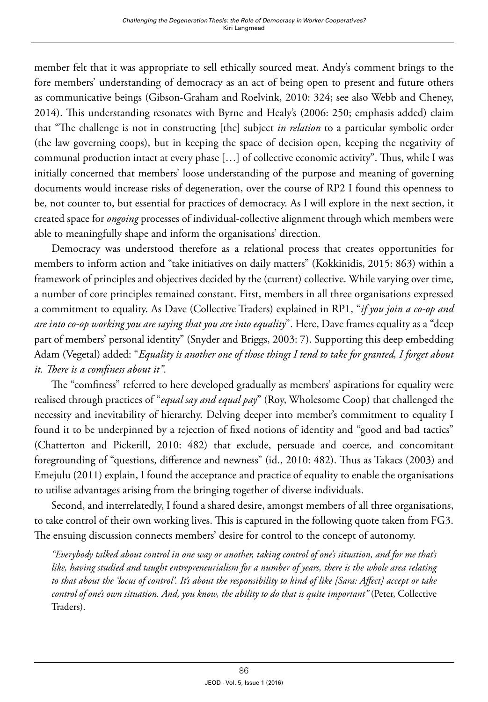member felt that it was appropriate to sell ethically sourced meat. Andy's comment brings to the fore members' understanding of democracy as an act of being open to present and future others as communicative beings (Gibson-Graham and Roelvink, 2010: 324; see also Webb and Cheney, 2014). This understanding resonates with Byrne and Healy's (2006: 250; emphasis added) claim that "The challenge is not in constructing [the] subject *in relation* to a particular symbolic order (the law governing coops), but in keeping the space of decision open, keeping the negativity of communal production intact at every phase […] of collective economic activity". Thus, while I was initially concerned that members' loose understanding of the purpose and meaning of governing documents would increase risks of degeneration, over the course of RP2 I found this openness to be, not counter to, but essential for practices of democracy. As I will explore in the next section, it created space for *ongoing* processes of individual-collective alignment through which members were able to meaningfully shape and inform the organisations' direction.

Democracy was understood therefore as a relational process that creates opportunities for members to inform action and "take initiatives on daily matters" (Kokkinidis, 2015: 863) within a framework of principles and objectives decided by the (current) collective. While varying over time, a number of core principles remained constant. First, members in all three organisations expressed a commitment to equality. As Dave (Collective Traders) explained in RP1, "*if you join a co-op and are into co-op working you are saying that you are into equality*". Here, Dave frames equality as a "deep part of members' personal identity" (Snyder and Briggs, 2003: 7). Supporting this deep embedding Adam (Vegetal) added: "*Equality is another one of those things I tend to take for granted, I forget about it. There is a comfiness about it"*.

The "comfiness" referred to here developed gradually as members' aspirations for equality were realised through practices of "*equal say and equal pay*" (Roy, Wholesome Coop) that challenged the necessity and inevitability of hierarchy. Delving deeper into member's commitment to equality I found it to be underpinned by a rejection of fixed notions of identity and "good and bad tactics" (Chatterton and Pickerill, 2010: 482) that exclude, persuade and coerce, and concomitant foregrounding of "questions, difference and newness" (id., 2010: 482). Thus as Takacs (2003) and Emejulu (2011) explain, I found the acceptance and practice of equality to enable the organisations to utilise advantages arising from the bringing together of diverse individuals.

Second, and interrelatedly, I found a shared desire, amongst members of all three organisations, to take control of their own working lives. This is captured in the following quote taken from FG3. The ensuing discussion connects members' desire for control to the concept of autonomy.

*"Everybody talked about control in one way or another, taking control of one's situation, and for me that's like, having studied and taught entrepreneurialism for a number of years, there is the whole area relating to that about the 'locus of control'. It's about the responsibility to kind of like [Sara: Affect] accept or take control of one's own situation. And, you know, the ability to do that is quite important"* (Peter, Collective Traders).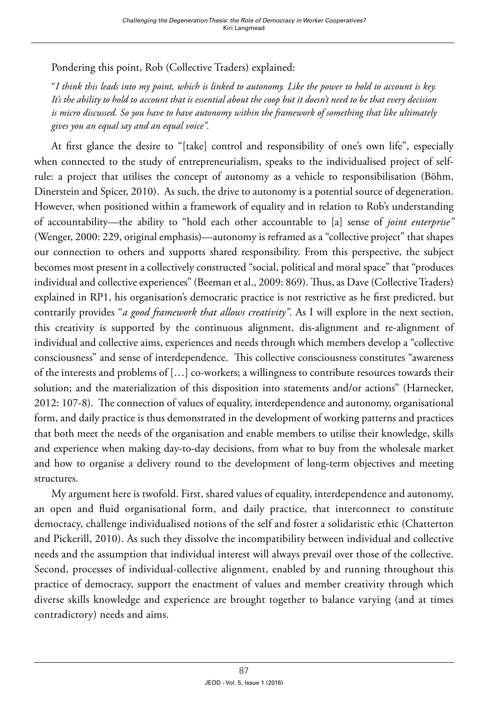Pondering this point, Rob (Collective Traders) explained:

"*I think this leads into my point, which is linked to autonomy. Like the power to hold to account is key. It's the ability to hold to account that is essential about the coop but it doesn't need to be that every decision is micro discussed. So you have to have autonomy within the framework of something that like ultimately gives you an equal say and an equal voice".*

At first glance the desire to "[take] control and responsibility of one's own life", especially when connected to the study of entrepreneurialism, speaks to the individualised project of selfrule: a project that utilises the concept of autonomy as a vehicle to responsibilisation (Böhm, Dinerstein and Spicer, 2010). As such, the drive to autonomy is a potential source of degeneration. However, when positioned within a framework of equality and in relation to Rob's understanding of accountability—the ability to "hold each other accountable to [a] sense of *joint enterprise"*  (Wenger, 2000: 229, original emphasis)—autonomy is reframed as a "collective project" that shapes our connection to others and supports shared responsibility. From this perspective, the subject becomes most present in a collectively constructed "social, political and moral space" that "produces individual and collective experiences" (Beeman et al., 2009: 869). Thus, as Dave (Collective Traders) explained in RP1, his organisation's democratic practice is not restrictive as he first predicted, but contrarily provides "*a good framework that allows creativity"*. As I will explore in the next section, this creativity is supported by the continuous alignment, dis-alignment and re-alignment of individual and collective aims, experiences and needs through which members develop a "collective consciousness" and sense of interdependence. This collective consciousness constitutes "awareness of the interests and problems of […] co-workers; a willingness to contribute resources towards their solution; and the materialization of this disposition into statements and/or actions" (Harnecker, 2012: 107-8). The connection of values of equality, interdependence and autonomy, organisational form, and daily practice is thus demonstrated in the development of working patterns and practices that both meet the needs of the organisation and enable members to utilise their knowledge, skills and experience when making day-to-day decisions, from what to buy from the wholesale market and how to organise a delivery round to the development of long-term objectives and meeting structures.

My argument here is twofold. First, shared values of equality, interdependence and autonomy, an open and fluid organisational form, and daily practice, that interconnect to constitute democracy, challenge individualised notions of the self and foster a solidaristic ethic (Chatterton and Pickerill, 2010). As such they dissolve the incompatibility between individual and collective needs and the assumption that individual interest will always prevail over those of the collective. Second, processes of individual-collective alignment, enabled by and running throughout this practice of democracy, support the enactment of values and member creativity through which diverse skills knowledge and experience are brought together to balance varying (and at times contradictory) needs and aims.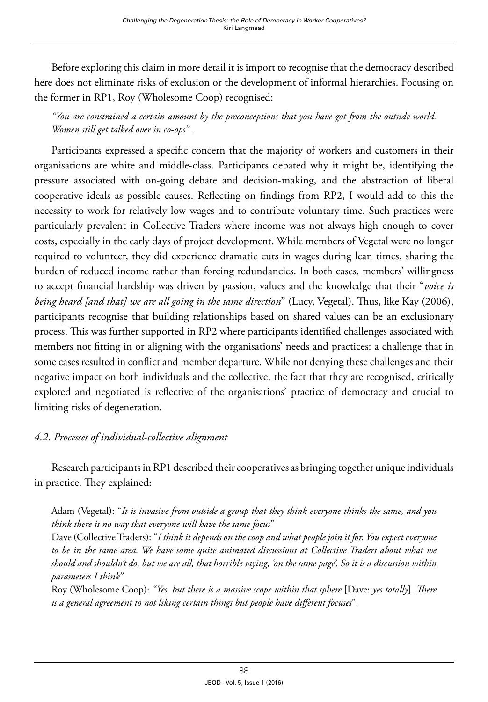Before exploring this claim in more detail it is import to recognise that the democracy described here does not eliminate risks of exclusion or the development of informal hierarchies. Focusing on the former in RP1, Roy (Wholesome Coop) recognised:

*"You are constrained a certain amount by the preconceptions that you have got from the outside world. Women still get talked over in co-ops" .*

Participants expressed a specific concern that the majority of workers and customers in their organisations are white and middle-class. Participants debated why it might be, identifying the pressure associated with on-going debate and decision-making, and the abstraction of liberal cooperative ideals as possible causes. Reflecting on findings from RP2, I would add to this the necessity to work for relatively low wages and to contribute voluntary time. Such practices were particularly prevalent in Collective Traders where income was not always high enough to cover costs, especially in the early days of project development. While members of Vegetal were no longer required to volunteer, they did experience dramatic cuts in wages during lean times, sharing the burden of reduced income rather than forcing redundancies. In both cases, members' willingness to accept financial hardship was driven by passion, values and the knowledge that their "*voice is being heard [and that] we are all going in the same direction*" (Lucy, Vegetal). Thus, like Kay (2006), participants recognise that building relationships based on shared values can be an exclusionary process. This was further supported in RP2 where participants identified challenges associated with members not fitting in or aligning with the organisations' needs and practices: a challenge that in some cases resulted in conflict and member departure. While not denying these challenges and their negative impact on both individuals and the collective, the fact that they are recognised, critically explored and negotiated is reflective of the organisations' practice of democracy and crucial to limiting risks of degeneration.

#### *4.2. Processes of individual-collective alignment*

Research participants in RP1 described their cooperatives as bringing together unique individuals in practice. They explained:

Adam (Vegetal): "*It is invasive from outside a group that they think everyone thinks the same, and you think there is no way that everyone will have the same focus*"

Dave (Collective Traders): "*I think it depends on the coop and what people join it for. You expect everyone to be in the same area. We have some quite animated discussions at Collective Traders about what we should and shouldn't do, but we are all, that horrible saying, 'on the same page'. So it is a discussion within parameters I think"*

Roy (Wholesome Coop): *"Yes, but there is a massive scope within that sphere* [Dave: *yes totally*]*. There is a general agreement to not liking certain things but people have different focuses*".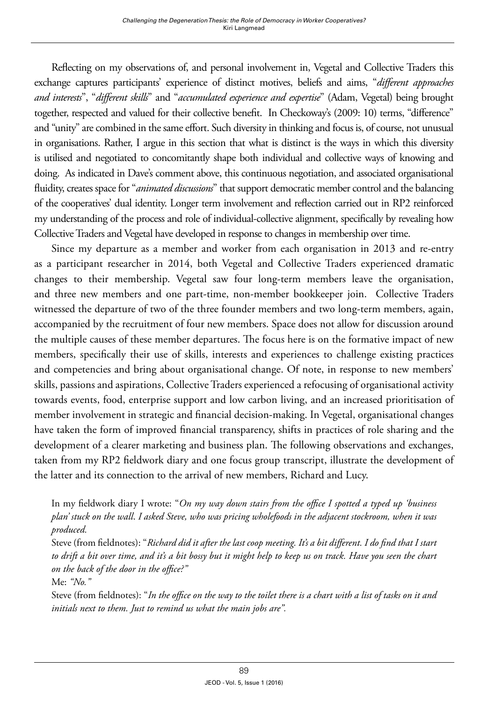Reflecting on my observations of, and personal involvement in, Vegetal and Collective Traders this exchange captures participants' experience of distinct motives, beliefs and aims, "*different approaches and interests*", "*different skills*" and "*accumulated experience and expertise*" (Adam, Vegetal) being brought together, respected and valued for their collective benefit. In Checkoway's (2009: 10) terms, "difference" and "unity" are combined in the same effort. Such diversity in thinking and focus is, of course, not unusual in organisations. Rather, I argue in this section that what is distinct is the ways in which this diversity is utilised and negotiated to concomitantly shape both individual and collective ways of knowing and doing. As indicated in Dave's comment above, this continuous negotiation, and associated organisational fluidity, creates space for "*animated discussions*" that support democratic member control and the balancing of the cooperatives' dual identity. Longer term involvement and reflection carried out in RP2 reinforced my understanding of the process and role of individual-collective alignment, specifically by revealing how Collective Traders and Vegetal have developed in response to changes in membership over time.

Since my departure as a member and worker from each organisation in 2013 and re-entry as a participant researcher in 2014, both Vegetal and Collective Traders experienced dramatic changes to their membership. Vegetal saw four long-term members leave the organisation, and three new members and one part-time, non-member bookkeeper join. Collective Traders witnessed the departure of two of the three founder members and two long-term members, again, accompanied by the recruitment of four new members. Space does not allow for discussion around the multiple causes of these member departures. The focus here is on the formative impact of new members, specifically their use of skills, interests and experiences to challenge existing practices and competencies and bring about organisational change. Of note, in response to new members' skills, passions and aspirations, Collective Traders experienced a refocusing of organisational activity towards events, food, enterprise support and low carbon living, and an increased prioritisation of member involvement in strategic and financial decision-making. In Vegetal, organisational changes have taken the form of improved financial transparency, shifts in practices of role sharing and the development of a clearer marketing and business plan. The following observations and exchanges, taken from my RP2 fieldwork diary and one focus group transcript, illustrate the development of the latter and its connection to the arrival of new members, Richard and Lucy.

In my fieldwork diary I wrote: "*On my way down stairs from the office I spotted a typed up 'business plan' stuck on the wall*. *I asked Steve, who was pricing wholefoods in the adjacent stockroom, when it was produced.* 

Steve (from fieldnotes): "*Richard did it after the last coop meeting. It's a bit different. I do find that I start to drift a bit over time, and it's a bit bossy but it might help to keep us on track. Have you seen the chart on the back of the door in the office?"* 

Me: *"No."*

Steve (from fieldnotes): "*In the office on the way to the toilet there is a chart with a list of tasks on it and initials next to them. Just to remind us what the main jobs are".*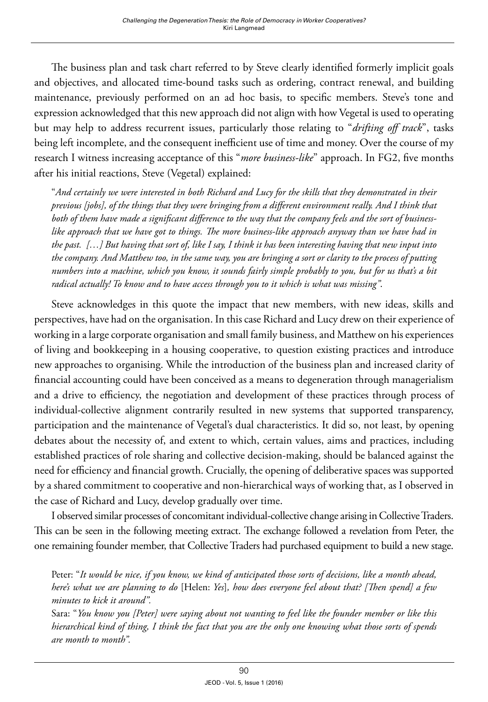The business plan and task chart referred to by Steve clearly identified formerly implicit goals and objectives, and allocated time-bound tasks such as ordering, contract renewal, and building maintenance, previously performed on an ad hoc basis, to specific members. Steve's tone and expression acknowledged that this new approach did not align with how Vegetal is used to operating but may help to address recurrent issues, particularly those relating to "*drifting off track*", tasks being left incomplete, and the consequent inefficient use of time and money. Over the course of my research I witness increasing acceptance of this "*more business-like*" approach. In FG2, five months after his initial reactions, Steve (Vegetal) explained:

"*And certainly we were interested in both Richard and Lucy for the skills that they demonstrated in their previous [jobs], of the things that they were bringing from a different environment really. And I think that both of them have made a significant difference to the way that the company feels and the sort of businesslike approach that we have got to things. The more business-like approach anyway than we have had in the past. […] But having that sort of, like I say, I think it has been interesting having that new input into the company. And Matthew too, in the same way, you are bringing a sort or clarity to the process of putting numbers into a machine, which you know, it sounds fairly simple probably to you, but for us that's a bit radical actually! To know and to have access through you to it which is what was missing"*.

Steve acknowledges in this quote the impact that new members, with new ideas, skills and perspectives, have had on the organisation. In this case Richard and Lucy drew on their experience of working in a large corporate organisation and small family business, and Matthew on his experiences of living and bookkeeping in a housing cooperative, to question existing practices and introduce new approaches to organising. While the introduction of the business plan and increased clarity of financial accounting could have been conceived as a means to degeneration through managerialism and a drive to efficiency, the negotiation and development of these practices through process of individual-collective alignment contrarily resulted in new systems that supported transparency, participation and the maintenance of Vegetal's dual characteristics. It did so, not least, by opening debates about the necessity of, and extent to which, certain values, aims and practices, including established practices of role sharing and collective decision-making, should be balanced against the need for efficiency and financial growth. Crucially, the opening of deliberative spaces was supported by a shared commitment to cooperative and non-hierarchical ways of working that, as I observed in the case of Richard and Lucy, develop gradually over time.

I observed similar processes of concomitant individual-collective change arising in Collective Traders. This can be seen in the following meeting extract. The exchange followed a revelation from Peter, the one remaining founder member, that Collective Traders had purchased equipment to build a new stage.

Peter: "*It would be nice, if you know, we kind of anticipated those sorts of decisions, like a month ahead, here's what we are planning to do* [Helen: *Yes*]*, how does everyone feel about that? [Then spend] a few minutes to kick it around".*

Sara: "*You know you [Peter] were saying about not wanting to feel like the founder member or like this hierarchical kind of thing, I think the fact that you are the only one knowing what those sorts of spends are month to month".*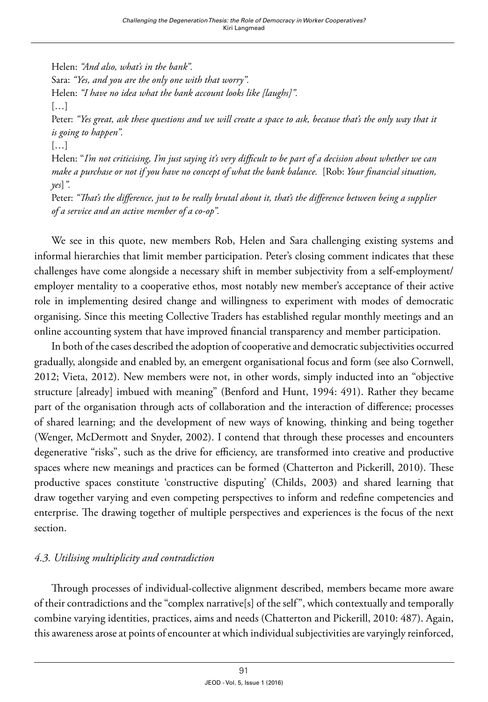Helen: *"And also, what's in the bank".* Sara: *"Yes, and you are the only one with that worry".* Helen: *"I have no idea what the bank account looks like [laughs]".* […] Peter: *"Yes great, ask these questions and we will create a space to ask, because that's the only way that it is going to happen".* […] Helen: "*I'm not criticising, I'm just saying it's very difficult to be part of a decision about whether we can make a purchase or not if you have no concept of what the bank balance.* [Rob: *Your financial situation, yes*]*".*  Peter: *"That's the difference, just to be really brutal about it, that's the difference between being a supplier of a service and an active member of a co-op".*

We see in this quote, new members Rob, Helen and Sara challenging existing systems and informal hierarchies that limit member participation. Peter's closing comment indicates that these challenges have come alongside a necessary shift in member subjectivity from a self-employment/ employer mentality to a cooperative ethos, most notably new member's acceptance of their active role in implementing desired change and willingness to experiment with modes of democratic organising. Since this meeting Collective Traders has established regular monthly meetings and an online accounting system that have improved financial transparency and member participation.

In both of the cases described the adoption of cooperative and democratic subjectivities occurred gradually, alongside and enabled by, an emergent organisational focus and form (see also Cornwell, 2012; Vieta, 2012). New members were not, in other words, simply inducted into an "objective structure [already] imbued with meaning" (Benford and Hunt, 1994: 491). Rather they became part of the organisation through acts of collaboration and the interaction of difference; processes of shared learning; and the development of new ways of knowing, thinking and being together (Wenger, McDermott and Snyder, 2002). I contend that through these processes and encounters degenerative "risks", such as the drive for efficiency, are transformed into creative and productive spaces where new meanings and practices can be formed (Chatterton and Pickerill, 2010). These productive spaces constitute 'constructive disputing' (Childs, 2003) and shared learning that draw together varying and even competing perspectives to inform and redefine competencies and enterprise. The drawing together of multiple perspectives and experiences is the focus of the next section.

## *4.3. Utilising multiplicity and contradiction*

Through processes of individual-collective alignment described, members became more aware of their contradictions and the "complex narrative[s] of the self", which contextually and temporally combine varying identities, practices, aims and needs (Chatterton and Pickerill, 2010: 487). Again, this awareness arose at points of encounter at which individual subjectivities are varyingly reinforced,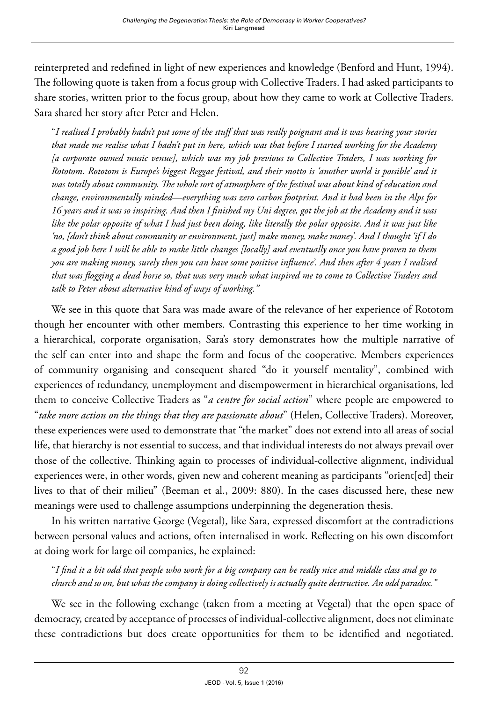reinterpreted and redefined in light of new experiences and knowledge (Benford and Hunt, 1994). The following quote is taken from a focus group with Collective Traders. I had asked participants to share stories, written prior to the focus group, about how they came to work at Collective Traders. Sara shared her story after Peter and Helen.

"*I realised I probably hadn't put some of the stuff that was really poignant and it was hearing your stories that made me realise what I hadn't put in here, which was that before I started working for the Academy [a corporate owned music venue], which was my job previous to Collective Traders, I was working for Rototom. Rototom is Europe's biggest Reggae festival, and their motto is 'another world is possible' and it was totally about community. The whole sort of atmosphere of the festival was about kind of education and change, environmentally minded—everything was zero carbon footprint. And it had been in the Alps for 16 years and it was so inspiring. And then I finished my Uni degree, got the job at the Academy and it was like the polar opposite of what I had just been doing, like literally the polar opposite. And it was just like 'no, [don't think about community or environment, just] make money, make money'. And I thought 'if I do a good job here I will be able to make little changes [locally] and eventually once you have proven to them you are making money, surely then you can have some positive influence'. And then after 4 years I realised that was flogging a dead horse so, that was very much what inspired me to come to Collective Traders and talk to Peter about alternative kind of ways of working."*

We see in this quote that Sara was made aware of the relevance of her experience of Rototom though her encounter with other members. Contrasting this experience to her time working in a hierarchical, corporate organisation, Sara's story demonstrates how the multiple narrative of the self can enter into and shape the form and focus of the cooperative. Members experiences of community organising and consequent shared "do it yourself mentality", combined with experiences of redundancy, unemployment and disempowerment in hierarchical organisations, led them to conceive Collective Traders as "*a centre for social action*" where people are empowered to "*take more action on the things that they are passionate about*" (Helen, Collective Traders). Moreover, these experiences were used to demonstrate that "the market" does not extend into all areas of social life, that hierarchy is not essential to success, and that individual interests do not always prevail over those of the collective. Thinking again to processes of individual-collective alignment, individual experiences were, in other words, given new and coherent meaning as participants "orient[ed] their lives to that of their milieu" (Beeman et al., 2009: 880). In the cases discussed here, these new meanings were used to challenge assumptions underpinning the degeneration thesis.

In his written narrative George (Vegetal), like Sara, expressed discomfort at the contradictions between personal values and actions, often internalised in work. Reflecting on his own discomfort at doing work for large oil companies, he explained:

"*I find it a bit odd that people who work for a big company can be really nice and middle class and go to church and so on, but what the company is doing collectively is actually quite destructive. An odd paradox."*

We see in the following exchange (taken from a meeting at Vegetal) that the open space of democracy, created by acceptance of processes of individual-collective alignment, does not eliminate these contradictions but does create opportunities for them to be identified and negotiated.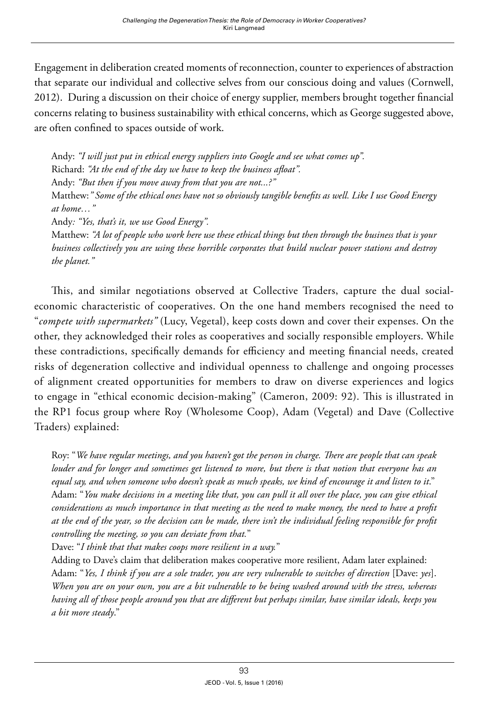Engagement in deliberation created moments of reconnection, counter to experiences of abstraction that separate our individual and collective selves from our conscious doing and values (Cornwell, 2012). During a discussion on their choice of energy supplier, members brought together financial concerns relating to business sustainability with ethical concerns, which as George suggested above, are often confined to spaces outside of work.

Andy: *"I will just put in ethical energy suppliers into Google and see what comes up".* Richard: *"At the end of the day we have to keep the business afloat".* Andy: *"But then if you move away from that you are not...?"* Matthew:*" Some of the ethical ones have not so obviously tangible benefits as well. Like I use Good Energy at home…"* Andy*: "Yes, that's it, we use Good Energy".* Matthew: *"A lot of people who work here use these ethical things but then through the business that is your business collectively you are using these horrible corporates that build nuclear power stations and destroy* 

This, and similar negotiations observed at Collective Traders, capture the dual socialeconomic characteristic of cooperatives. On the one hand members recognised the need to "*compete with supermarkets"* (Lucy, Vegetal), keep costs down and cover their expenses. On the other, they acknowledged their roles as cooperatives and socially responsible employers. While these contradictions, specifically demands for efficiency and meeting financial needs, created risks of degeneration collective and individual openness to challenge and ongoing processes of alignment created opportunities for members to draw on diverse experiences and logics to engage in "ethical economic decision-making" (Cameron, 2009: 92). This is illustrated in the RP1 focus group where Roy (Wholesome Coop), Adam (Vegetal) and Dave (Collective Traders) explained:

Roy: "*We have regular meetings, and you haven't got the person in charge. There are people that can speak louder and for longer and sometimes get listened to more, but there is that notion that everyone has an equal say, and when someone who doesn't speak as much speaks, we kind of encourage it and listen to it*." Adam: "*You make decisions in a meeting like that, you can pull it all over the place, you can give ethical considerations as much importance in that meeting as the need to make money, the need to have a profit at the end of the year, so the decision can be made, there isn't the individual feeling responsible for profit controlling the meeting, so you can deviate from that.*"

Dave: "*I think that that makes coops more resilient in a way.*"

*the planet."* 

Adding to Dave's claim that deliberation makes cooperative more resilient, Adam later explained: Adam: "*Yes, I think if you are a sole trader, you are very vulnerable to switches of direction* [Dave: *yes*]. *When you are on your own, you are a bit vulnerable to be being washed around with the stress, whereas having all of those people around you that are different but perhaps similar, have similar ideals, keeps you a bit more steady*."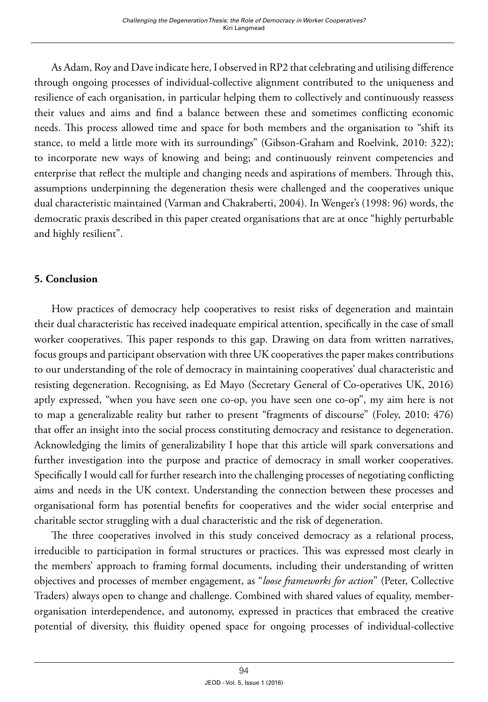As Adam, Roy and Dave indicate here, I observed in RP2 that celebrating and utilising difference through ongoing processes of individual-collective alignment contributed to the uniqueness and resilience of each organisation, in particular helping them to collectively and continuously reassess their values and aims and find a balance between these and sometimes conflicting economic needs. This process allowed time and space for both members and the organisation to "shift its stance, to meld a little more with its surroundings" (Gibson-Graham and Roelvink, 2010: 322); to incorporate new ways of knowing and being; and continuously reinvent competencies and enterprise that reflect the multiple and changing needs and aspirations of members. Through this, assumptions underpinning the degeneration thesis were challenged and the cooperatives unique dual characteristic maintained (Varman and Chakraberti, 2004). In Wenger's (1998: 96) words, the democratic praxis described in this paper created organisations that are at once "highly perturbable and highly resilient".

### **5. Conclusion**

How practices of democracy help cooperatives to resist risks of degeneration and maintain their dual characteristic has received inadequate empirical attention, specifically in the case of small worker cooperatives. This paper responds to this gap. Drawing on data from written narratives, focus groups and participant observation with three UK cooperatives the paper makes contributions to our understanding of the role of democracy in maintaining cooperatives' dual characteristic and resisting degeneration. Recognising, as Ed Mayo (Secretary General of Co-operatives UK, 2016) aptly expressed, "when you have seen one co-op, you have seen one co-op", my aim here is not to map a generalizable reality but rather to present "fragments of discourse" (Foley, 2010: 476) that offer an insight into the social process constituting democracy and resistance to degeneration. Acknowledging the limits of generalizability I hope that this article will spark conversations and further investigation into the purpose and practice of democracy in small worker cooperatives. Specifically I would call for further research into the challenging processes of negotiating conflicting aims and needs in the UK context. Understanding the connection between these processes and organisational form has potential benefits for cooperatives and the wider social enterprise and charitable sector struggling with a dual characteristic and the risk of degeneration.

The three cooperatives involved in this study conceived democracy as a relational process, irreducible to participation in formal structures or practices. This was expressed most clearly in the members' approach to framing formal documents, including their understanding of written objectives and processes of member engagement, as "*loose frameworks for action*" (Peter, Collective Traders) always open to change and challenge. Combined with shared values of equality, memberorganisation interdependence, and autonomy, expressed in practices that embraced the creative potential of diversity, this fluidity opened space for ongoing processes of individual-collective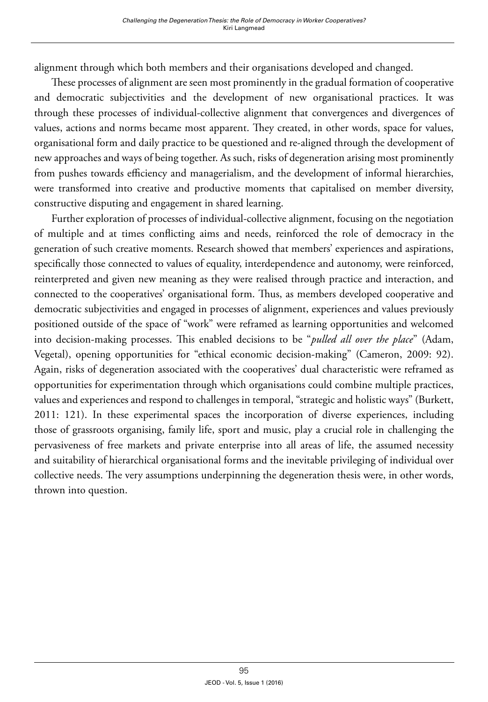alignment through which both members and their organisations developed and changed.

These processes of alignment are seen most prominently in the gradual formation of cooperative and democratic subjectivities and the development of new organisational practices. It was through these processes of individual-collective alignment that convergences and divergences of values, actions and norms became most apparent. They created, in other words, space for values, organisational form and daily practice to be questioned and re-aligned through the development of new approaches and ways of being together. As such, risks of degeneration arising most prominently from pushes towards efficiency and managerialism, and the development of informal hierarchies, were transformed into creative and productive moments that capitalised on member diversity, constructive disputing and engagement in shared learning.

Further exploration of processes of individual-collective alignment, focusing on the negotiation of multiple and at times conflicting aims and needs, reinforced the role of democracy in the generation of such creative moments. Research showed that members' experiences and aspirations, specifically those connected to values of equality, interdependence and autonomy, were reinforced, reinterpreted and given new meaning as they were realised through practice and interaction, and connected to the cooperatives' organisational form. Thus, as members developed cooperative and democratic subjectivities and engaged in processes of alignment, experiences and values previously positioned outside of the space of "work" were reframed as learning opportunities and welcomed into decision-making processes. This enabled decisions to be "*pulled all over the place*" (Adam, Vegetal), opening opportunities for "ethical economic decision-making" (Cameron, 2009: 92). Again, risks of degeneration associated with the cooperatives' dual characteristic were reframed as opportunities for experimentation through which organisations could combine multiple practices, values and experiences and respond to challenges in temporal, "strategic and holistic ways" (Burkett, 2011: 121). In these experimental spaces the incorporation of diverse experiences, including those of grassroots organising, family life, sport and music, play a crucial role in challenging the pervasiveness of free markets and private enterprise into all areas of life, the assumed necessity and suitability of hierarchical organisational forms and the inevitable privileging of individual over collective needs. The very assumptions underpinning the degeneration thesis were, in other words, thrown into question.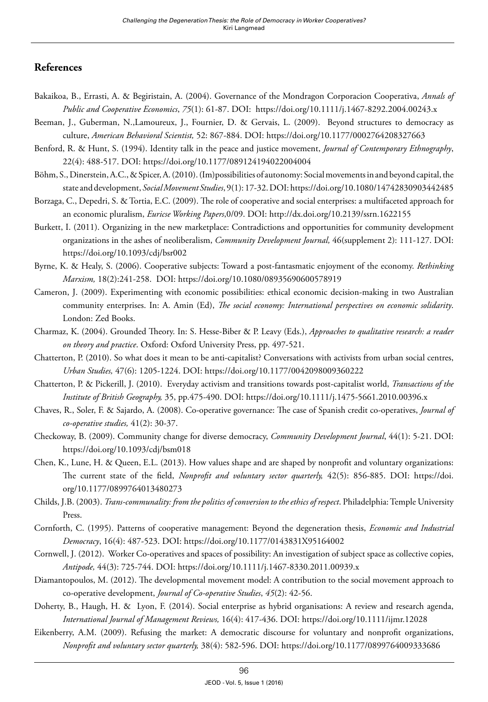#### **References**

- Bakaikoa, B., Errasti, A. & Begiristain, A. (2004). Governance of the Mondragon Corporacion Cooperativa, *Annals of Public and Cooperative Economics*, *75*(1): 61-87. DOI: <https://doi.org/10.1111/j.1467-8292.2004.00243.x>
- Beeman, J., Guberman, N.,Lamoureux, J., Fournier, D. & Gervais, L. (2009). Beyond structures to democracy as culture, *American Behavioral Scientist,* 52: 867-884. DOI: <https://doi.org/10.1177/0002764208327663>
- Benford, R. & Hunt, S. (1994). Identity talk in the peace and justice movement, *Journal of Contemporary Ethnography*, 22(4): 488-517. DOI:<https://doi.org/10.1177/089124194022004004>
- Böhm, S., Dinerstein, A.C., & Spicer, A. (2010). (Im)possibilities of autonomy: Social movements in and beyond capital, the state and development, *Social Movement Studies*, 9(1): 17-32. DOI:<https://doi.org/10.1080/14742830903442485>
- Borzaga, C., Depedri, S. & Tortia, E.C. (2009). The role of cooperative and social enterprises: a multifaceted approach for an economic pluralism, *Euricse Working Papers*,0/09. DOI: <http://dx.doi.org/10.2139/ssrn.1622155>
- Burkett, I. (2011). Organizing in the new marketplace: Contradictions and opportunities for community development organizations in the ashes of neoliberalism, *Community Development Journal,* 46(supplement 2): 111-127. DOI: <https://doi.org/10.1093/cdj/bsr002>
- Byrne, K. & Healy, S. (2006). Cooperative subjects: Toward a post-fantasmatic enjoyment of the economy. *Rethinking Marxism,* 18(2):241-258. DOI: <https://doi.org/10.1080/08935690600578919>
- Cameron, J. (2009). Experimenting with economic possibilities: ethical economic decision-making in two Australian community enterprises. In: A. Amin (Ed), *The social economy: International perspectives on economic solidarity*. London: Zed Books.
- Charmaz, K. (2004). Grounded Theory. In: S. Hesse-Biber & P. Leavy (Eds.), *Approaches to qualitative research: a reader on theory and practice*. Oxford: Oxford University Press, pp. 497-521.
- Chatterton, P. (2010). So what does it mean to be anti-capitalist? Conversations with activists from urban social centres, *Urban Studies,* 47(6): 1205-1224. DOI:<https://doi.org/10.1177/0042098009360222>
- Chatterton, P. & Pickerill, J. (2010). Everyday activism and transitions towards post-capitalist world, *Transactions of the Institute of British Geography,* 35, pp.475-490. DOI:<https://doi.org/10.1111/j.1475-5661.2010.00396.x>
- Chaves, R., Soler, F. & Sajardo, A. (2008). Co-operative governance: The case of Spanish credit co-operatives, *Journal of co-operative studies,* 41(2): 30-37.
- Checkoway, B. (2009). Community change for diverse democracy, *Community Development Journal*, 44(1): 5-21. DOI: <https://doi.org/10.1093/cdj/bsm018>
- Chen, K., Lune, H. & Queen, E.L. (2013). How values shape and are shaped by nonprofit and voluntary organizations: The current state of the field, *Nonprofit and voluntary sector quarterly,* 42(5): 856-885. DOI: [https://doi.](https://doi.org/10.1177/0899764013480273) [org/10.1177/0899764013480273](https://doi.org/10.1177/0899764013480273)
- Childs, J.B. (2003). *Trans-communality: from the politics of conversion to the ethics of respect*. Philadelphia: Temple University Press.
- Cornforth, C. (1995). Patterns of cooperative management: Beyond the degeneration thesis, *Economic and Industrial Democracy*, 16(4): 487-523. DOI: <https://doi.org/10.1177/0143831X95164002>
- Cornwell, J. (2012). Worker Co-operatives and spaces of possibility: An investigation of subject space as collective copies, *Antipode,* 44(3): 725-744. DOI: <https://doi.org/10.1111/j.1467-8330.2011.00939.x>
- Diamantopoulos, M. (2012). The developmental movement model: A contribution to the social movement approach to co-operative development, *Journal of Co-operative Studies*, *45*(2): 42-56.
- Doherty, B., Haugh, H. & Lyon, F. (2014). Social enterprise as hybrid organisations: A review and research agenda, *International Journal of Management Reviews,* 16(4): 417-436. DOI:<https://doi.org/10.1111/ijmr.12028>
- Eikenberry, A.M. (2009). Refusing the market: A democratic discourse for voluntary and nonprofit organizations, *Nonprofit and voluntary sector quarterly,* 38(4): 582-596. DOI: <https://doi.org/10.1177/0899764009333686>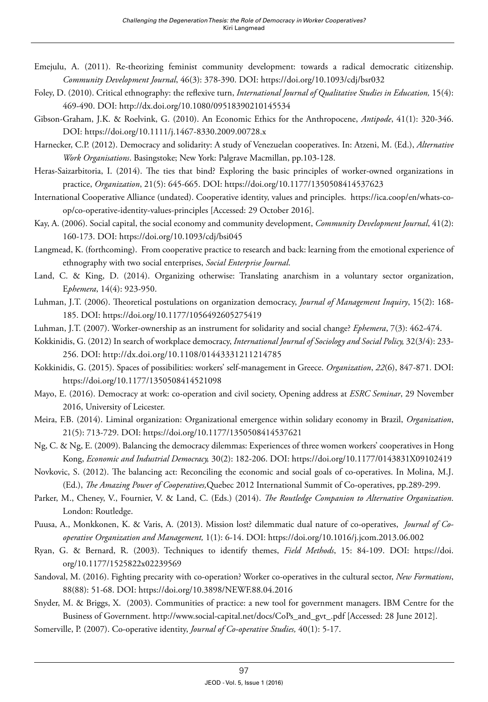- Emejulu, A. (2011). Re-theorizing feminist community development: towards a radical democratic citizenship. *Community Development Journal*, 46(3): 378-390. DOI:<https://doi.org/10.1093/cdj/bsr032>
- Foley, D. (2010). Critical ethnography: the reflexive turn, *International Journal of Qualitative Studies in Education,* 15(4): 469-490. DOI:<http://dx.doi.org/10.1080/09518390210145534>
- Gibson-Graham, J.K. & Roelvink, G. (2010). An Economic Ethics for the Anthropocene, *Antipode*, 41(1): 320-346. DOI:<https://doi.org/10.1111/j.1467-8330.2009.00728.x>
- Harnecker, C.P. (2012). Democracy and solidarity: A study of Venezuelan cooperatives. In: Atzeni, M. (Ed.), *Alternative Work Organisations*. Basingstoke; New York: Palgrave Macmillan, pp.103-128.
- Heras-Saizarbitoria, I. (2014). The ties that bind? Exploring the basic principles of worker-owned organizations in practice, *Organization*, 21(5): 645-665. DOI:<https://doi.org/10.1177/1350508414537623>
- International Cooperative Alliance (undated). Cooperative identity, values and principles. [https://ica.coop/en/whats-co](https://ica.coop/en/whats-co-op/co-operative-identity-values-principles)[op/co-operative-identity-values-principles](https://ica.coop/en/whats-co-op/co-operative-identity-values-principles) [Accessed: 29 October 2016].
- Kay, A. (2006). Social capital, the social economy and community development, *Community Development Journal*, 41(2): 160-173. DOI:<https://doi.org/10.1093/cdj/bsi045>
- Langmead, K. (forthcoming). From cooperative practice to research and back: learning from the emotional experience of ethnography with two social enterprises, *Social Enterprise Journal*.
- Land, C. & King, D. (2014). Organizing otherwise: Translating anarchism in a voluntary sector organization, E*phemera*, 14(4): 923-950.
- Luhman, J.T. (2006). Theoretical postulations on organization democracy, *Journal of Management Inquiry*, 15(2): 168- 185. DOI:<https://doi.org/10.1177/1056492605275419>
- Luhman, J.T. (2007). Worker-ownership as an instrument for solidarity and social change? *Ephemera*, 7(3): 462-474.
- Kokkinidis, G. (2012) In search of workplace democracy, *International Journal of Sociology and Social Policy,* 32(3/4): 233- 256. DOI: http://dx.doi.org/10.1108/01443331211214785
- Kokkinidis, G. (2015). Spaces of possibilities: workers' self-management in Greece. *Organization*, *22*(6), 847-871*.* DOI: <https://doi.org/10.1177/1350508414521098>
- Mayo, E. (2016). Democracy at work: co-operation and civil society, Opening address at *ESRC Seminar*, 29 November 2016, University of Leicester.
- Meira, F.B. (2014). Liminal organization: Organizational emergence within solidary economy in Brazil, *Organization*, 21(5): 713-729. DOI:<https://doi.org/10.1177/1350508414537621>
- Ng, C. & Ng, E. (2009). Balancing the democracy dilemmas: Experiences of three women workers' cooperatives in Hong Kong, *Economic and Industrial Democracy,* 30(2): 182-206. DOI: <https://doi.org/10.1177/0143831X09102419>
- Novkovic, S. (2012). The balancing act: Reconciling the economic and social goals of co-operatives. In Molina, M.J. (Ed.), *The Amazing Power of Cooperatives,*Quebec 2012 International Summit of Co-operatives, pp.289-299.
- Parker, M., Cheney, V., Fournier, V. & Land, C. (Eds.) (2014). *The Routledge Companion to Alternative Organization*. London: Routledge.
- Puusa, A., Monkkonen, K. & Varis, A. (2013). Mission lost? dilemmatic dual nature of co-operatives, *Journal of Cooperative Organization and Management,* 1(1): 6-14. DOI:<https://doi.org/10.1016/j.jcom.2013.06.002>
- Ryan, G. & Bernard, R. (2003). Techniques to identify themes, *Field Methods*, 15: 84-109. DOI: [https://doi.](https://doi.org/10.1177/1525822x02239569) [org/10.1177/1525822x02239569](https://doi.org/10.1177/1525822x02239569)
- Sandoval, M. (2016). Fighting precarity with co-operation? Worker co-operatives in the cultural sector, *New Formations*, 88(88): 51-68. DOI: <https://doi.org/10.3898/NEWF.88.04.2016>
- Snyder, M. & Briggs, X. (2003). Communities of practice: a new tool for government managers. IBM Centre for the Business of Government. [http://www.social-capital.net/docs/CoPs\\_and\\_gvt\\_.pdf](http://www.social-capital.net/docs/CoPs_and_gvt_.pdf) [Accessed: 28 June 2012].
- Somerville, P. (2007). Co-operative identity, *Journal of Co-operative Studies,* 40(1): 5-17.